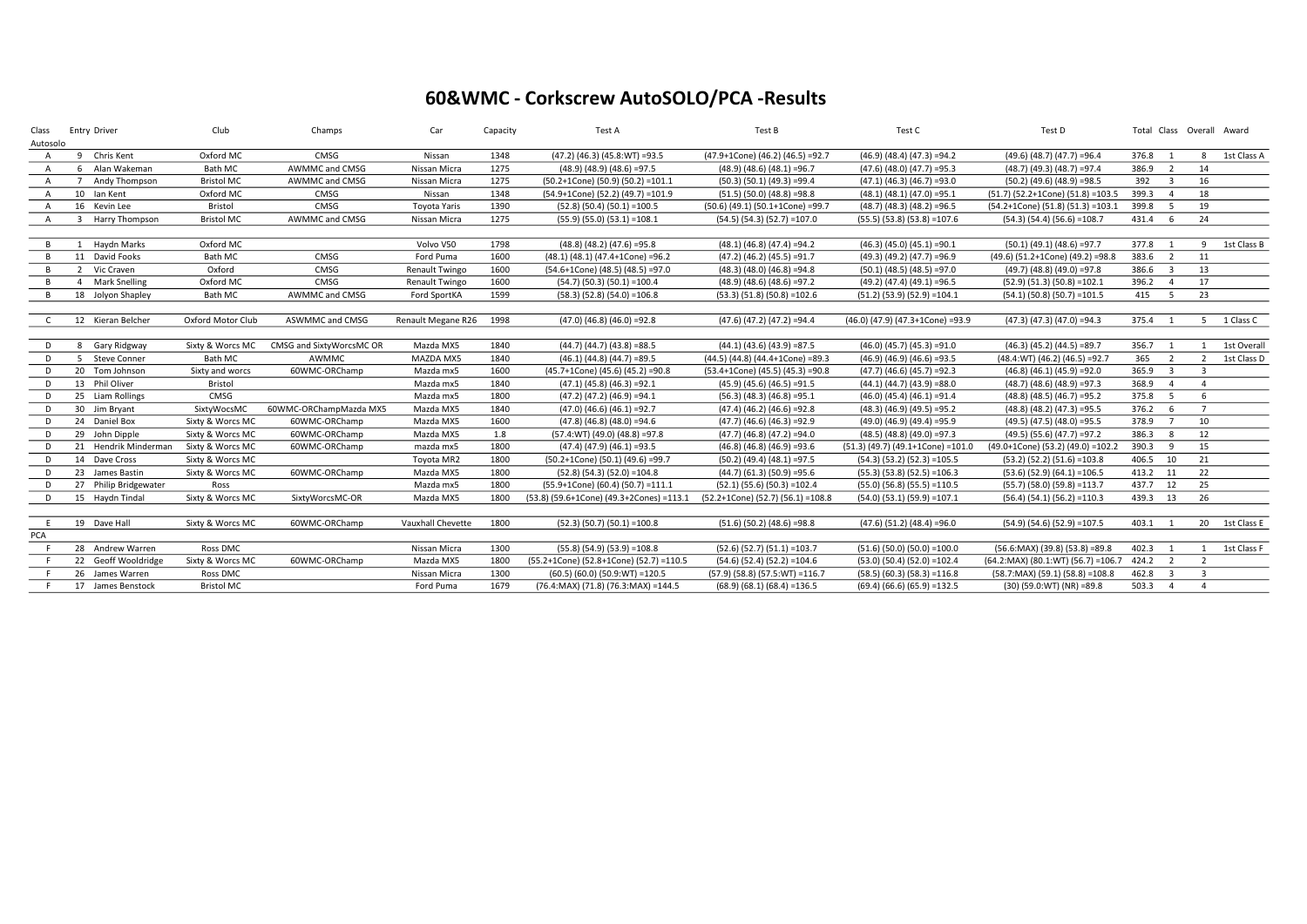## 60&WMC - Corkscrew AutoSOLO/PCA -Results

| Class    | <b>Entry Driver</b>   | Club              | Champs                   | Car                 | Capacity | Test A                                                               | Test B                                   | Test C                            | Test D                                            |          | Total Class Overall Award |                         |                |
|----------|-----------------------|-------------------|--------------------------|---------------------|----------|----------------------------------------------------------------------|------------------------------------------|-----------------------------------|---------------------------------------------------|----------|---------------------------|-------------------------|----------------|
| Autosolo |                       |                   |                          |                     |          |                                                                      |                                          |                                   |                                                   |          |                           |                         |                |
| A        | 9 Chris Kent          | Oxford MC         | CMSG                     | Nissan              | 1348     | $(47.2)$ $(46.3)$ $(45.8)$ WT $)$ =93.5                              | (47.9+1Cone) (46.2) (46.5) =92.7         | $(46.9)$ $(48.4)$ $(47.3)$ =94.2  | $(49.6)$ $(48.7)$ $(47.7)$ =96.4                  | 376.8    |                           | 8                       | 1st Class A    |
| A        | 6 Alan Wakeman        | Bath MC           | AWMMC and CMSG           | Nissan Micra        | 1275     | $(48.9)$ $(48.9)$ $(48.6)$ =97.5                                     | $(48.9)$ $(48.6)$ $(48.1) = 96.7$        | $(47.6)$ $(48.0)$ $(47.7)$ =95.3  | $(48.7)$ $(49.3)$ $(48.7)$ =97.4                  | 386.9    | $\overline{2}$            | 14                      |                |
| A        | 7 Andy Thompson       | <b>Bristol MC</b> | AWMMC and CMSG           | Nissan Micra        | 1275     | $(50.2+1Cone)$ (50.9) (50.2) =101.1                                  | $(50.3) (50.1) (49.3) = 99.4$            | $(47.1)$ $(46.3)$ $(46.7)$ =93.0  | $(50.2)$ (49.6) (48.9) = 98.5                     | 392 3    |                           | 16                      |                |
| A        | 10 Ian Kent           | Oxford MC         | CMSG                     | Nissan              | 1348     | (54.9+1Cone) (52.2) (49.7) =101.9                                    | $(51.5)$ $(50.0)$ $(48.8)$ =98.8         | $(48.1)$ $(48.1)$ $(47.0)$ =95.1  | (51.7) (52.2+1Cone) (51.8) =103.5                 | 399.3    | - 4                       | 18                      |                |
| A        | 16 Kevin Lee          | Bristol           | CMSG                     | <b>Toyota Yaris</b> | 1390     | $(52.8)$ $(50.4)$ $(50.1) = 100.5$                                   | (50.6) (49.1) (50.1+1Cone) =99.7         | $(48.7)$ $(48.3)$ $(48.2)$ =96.5  | $(54.2+1Cone) (51.8) (51.3) = 103.1$              | 399.8 5  |                           | 19                      |                |
| A        | 3 Harry Thompson      | <b>Bristol MC</b> | AWMMC and CMSG           | Nissan Micra        | 1275     | $(55.9)$ $(55.0)$ $(53.1) = 108.1$                                   | $(54.5)$ $(54.3)$ $(52.7)$ =107.0        | $(55.5)$ $(53.8)$ $(53.8)$ =107.6 | $(54.3)$ $(54.4)$ $(56.6) = 108.7$                | 431.4    | - 6                       | 24                      |                |
|          |                       |                   |                          |                     |          |                                                                      |                                          |                                   |                                                   |          |                           |                         |                |
| - B      | 1 Haydn Marks         | Oxford MC         |                          | Volvo V50           | 1798     | $(48.8)$ $(48.2)$ $(47.6)$ =95.8                                     | $(48.1)$ $(46.8)$ $(47.4) = 94.2$        | $(46.3)$ $(45.0)$ $(45.1) = 90.1$ | $(50.1) (49.1) (48.6) = 97.7$                     | 377.8    |                           | -9                      | 1st Class B    |
|          | 11 David Fooks        | Bath MC           | CMSG                     | Ford Puma           | 1600     | $(48.1)$ $(48.1)$ $(47.4+1Cone)$ =96.2                               | $(47.2)$ $(46.2)$ $(45.5)$ =91.7         | $(49.3)$ $(49.2)$ $(47.7)$ =96.9  | (49.6) (51.2+1Cone) (49.2) =98.8                  | 383.6    | $\overline{2}$            | 11                      |                |
| B        | 2 Vic Craven          | Oxford            | CMSG                     | Renault Twingo      | 1600     | (54.6+1Cone) (48.5) (48.5) =97.0                                     | $(48.3)$ $(48.0)$ $(46.8)$ =94.8         | $(50.1)$ $(48.5)$ $(48.5)$ =97.0  | $(49.7)$ $(48.8)$ $(49.0)$ =97.8                  | 386.6 3  |                           | 13                      |                |
| <b>B</b> | 4 Mark Snelling       | Oxford MC         | CMSG                     | Renault Twingo      | 1600     | $(54.7)$ $(50.3)$ $(50.1) = 100.4$                                   | $(48.9)$ $(48.6)$ $(48.6)$ =97.2         | $(49.2)$ $(47.4)$ $(49.1)$ =96.5  | $(52.9)$ $(51.3)$ $(50.8)$ =102.1                 | 396.2 4  |                           | 17                      |                |
| B        | 18 Jolyon Shapley     | Bath MC           | AWMMC and CMSG           | Ford SportKA        | 1599     | $(58.3)$ $(52.8)$ $(54.0) = 106.8$                                   | $(53.3)$ $(51.8)$ $(50.8)$ =102.6        | $(51.2)$ $(53.9)$ $(52.9)$ =104.1 | $(54.1)$ $(50.8)$ $(50.7)$ =101.5                 | 415 5    |                           | 23                      |                |
|          |                       |                   |                          |                     |          |                                                                      |                                          |                                   |                                                   |          |                           |                         |                |
| C        | 12 Kieran Belcher     | Oxford Motor Club | ASWMMC and CMSG          | Renault Megane R26  | 1998     | $(47.0)$ $(46.8)$ $(46.0)$ =92.8                                     | $(47.6)$ $(47.2)$ $(47.2)$ =94.4         | (46.0) (47.9) (47.3+1Cone) =93.9  | $(47.3)$ $(47.3)$ $(47.0)$ =94.3                  | 375.4    |                           |                         | 5 1 Class C    |
|          |                       |                   |                          |                     |          |                                                                      |                                          |                                   |                                                   |          |                           |                         |                |
| D        | 8 Gary Ridgway        | Sixty & Worcs MC  | CMSG and SixtyWorcsMC OR | Mazda MX5           | 1840     | $(44.7)$ $(44.7)$ $(43.8)$ = 88.5                                    | $(44.1)$ $(43.6)$ $(43.9)$ = 87.5        | $(46.0)$ $(45.7)$ $(45.3)$ =91.0  | $(46.3)$ $(45.2)$ $(44.5)$ =89.7                  | 356.7    |                           |                         | 1st Overall    |
| D        | 5 Steve Conner        | Bath MC           | AWMMC                    | MAZDA MX5           | 1840     | $(46.1)$ $(44.8)$ $(44.7)$ =89.5                                     | $(44.5)$ $(44.8)$ $(44.4+1$ Cone) = 89.3 | $(46.9)$ $(46.9)$ $(46.6)$ =93.5  | $(48.4:WT)$ $(46.2)$ $(46.5) = 92.7$              | 365 2    |                           | 2                       | 1st Class D    |
| D        | 20 Tom Johnson        | Sixty and worcs   | 60WMC-ORChamp            | Mazda mx5           | 1600     | (45.7+1Cone) (45.6) (45.2) =90.8                                     | $(53.4+1Cone)$ $(45.5)$ $(45.3) = 90.8$  | $(47.7)$ $(46.6)$ $(45.7)$ =92.3  | $(46.8) (46.1) (45.9) = 92.0$                     | 365.9 3  |                           | $\overline{\mathbf{3}}$ |                |
| D        | 13 Phil Oliver        | Bristol           |                          | Mazda mx5           | 1840     | $(47.1)$ $(45.8)$ $(46.3)$ =92.1                                     | $(45.9)$ $(45.6)$ $(46.5)$ =91.5         | $(44.1)$ $(44.7)$ $(43.9)$ = 88.0 | $(48.7)$ $(48.6)$ $(48.9)$ =97.3                  | 368.9 4  |                           | $\overline{4}$          |                |
| D        | 25 Liam Rollings      | CMSG              |                          | Mazda mx5           | 1800     | $(47.2)$ $(47.2)$ $(46.9) = 94.1$                                    | $(56.3)$ $(48.3)$ $(46.8)$ = 95.1        | $(46.0)$ $(45.4)$ $(46.1) = 91.4$ | $(48.8)$ $(48.5)$ $(46.7)$ =95.2                  | 375.8 5  |                           | 6                       |                |
| D        | 30 Jim Bryant         | SixtyWocsMC       | 60WMC-ORChampMazda MX5   | Mazda MX5           | 1840     | $(47.0)$ $(46.6)$ $(46.1) = 92.7$                                    | $(47.4)$ $(46.2)$ $(46.6)$ =92.8         | $(48.3)$ $(46.9)$ $(49.5)$ =95.2  | $(48.8)$ $(48.2)$ $(47.3)$ =95.5                  | 376.2 6  |                           | $\overline{7}$          |                |
| D        | 24 Daniel Box         | Sixty & Worcs MC  | 60WMC-ORChamp            | Mazda MX5           | 1600     | $(47.8)$ $(46.8)$ $(48.0)$ =94.6                                     | $(47.7)$ $(46.6)$ $(46.3) = 92.9$        | $(49.0)$ $(46.9)$ $(49.4)$ =95.9  | $(49.5)$ $(47.5)$ $(48.0)$ =95.5                  | 378.9    |                           | 10                      |                |
| D        | 29 John Dipple        | Sixty & Worcs MC  | 60WMC-ORChamp            | Mazda MX5           | 1.8      | $(57.4:WT)$ (49.0) (48.8) =97.8                                      | $(47.7)$ $(46.8)$ $(47.2) = 94.0$        | $(48.5)$ $(48.8)$ $(49.0)$ =97.3  | $(49.5)$ $(55.6)$ $(47.7)$ =97.2                  | 386.3 8  |                           | 12                      |                |
| D        | 21 Hendrik Minderman  | Sixty & Worcs MC  | 60WMC-ORChamp            | mazda mx5           | 1800     | $(47.4)$ $(47.9)$ $(46.1) = 93.5$                                    | $(46.8)$ $(46.8)$ $(46.9)$ =93.6         | (51.3) (49.7) (49.1+1Cone) =101.0 | (49.0+1Cone) (53.2) (49.0) =102.2                 | 390.3 9  |                           | 15                      |                |
| D        | 14 Dave Cross         | Sixty & Worcs MC  |                          | Toyota MR2          | 1800     | (50.2+1Cone) (50.1) (49.6) =99.7                                     | $(50.2) (49.4) (48.1) = 97.5$            | $(54.3)$ $(53.2)$ $(52.3)$ =105.5 | $(53.2)$ $(52.2)$ $(51.6) = 103.8$                | 406.5 10 |                           | 21                      |                |
| D        | 23 James Bastin       | Sixty & Worcs MC  | 60WMC-ORChamp            | Mazda MX5           | 1800     | $(52.8)$ $(54.3)$ $(52.0) = 104.8$                                   | $(44.7)$ $(61.3)$ $(50.9)$ =95.6         | $(55.3)$ $(53.8)$ $(52.5)$ =106.3 | $(53.6)$ $(52.9)$ $(64.1) = 106.5$                | 413.2 11 |                           | 22                      |                |
| D        | 27 Philip Bridgewater | Ross              |                          | Mazda mx5           | 1800     | (55.9+1Cone) (60.4) (50.7) =111.1                                    | $(52.1)$ $(55.6)$ $(50.3) = 102.4$       | $(55.0)$ $(56.8)$ $(55.5)$ =110.5 | $(55.7)$ $(58.0)$ $(59.8)$ =113.7                 | 437.7 12 |                           | 25                      |                |
| D        | 15 Haydn Tindal       | Sixty & Worcs MC  | SixtyWorcsMC-OR          | Mazda MX5           | 1800     | (53.8) (59.6+1Cone) (49.3+2Cones) =113.1                             | (52.2+1Cone) (52.7) (56.1) =108.8        | $(54.0)$ $(53.1)$ $(59.9)$ =107.1 | $(56.4) (54.1) (56.2) = 110.3$                    | 439.3 13 |                           | 26                      |                |
|          |                       |                   |                          |                     |          |                                                                      |                                          |                                   |                                                   |          |                           |                         |                |
| E        | 19 Dave Hall          | Sixty & Worcs MC  | 60WMC-ORChamp            | Vauxhall Chevette   | 1800     | $(52.3)$ $(50.7)$ $(50.1) = 100.8$                                   | $(51.6)$ $(50.2)$ $(48.6) = 98.8$        | $(47.6)$ $(51.2)$ $(48.4) = 96.0$ | $(54.9)$ $(54.6)$ $(52.9)$ =107.5                 | 403.1 1  |                           |                         | 20 1st Class E |
| PCA      |                       |                   |                          |                     |          |                                                                      |                                          |                                   |                                                   |          |                           |                         |                |
|          | 28 Andrew Warren      | Ross DMC          |                          | Nissan Micra        | 1300     | $(55.8)$ $(54.9)$ $(53.9)$ =108.8                                    | $(52.6)$ $(52.7)$ $(51.1)$ =103.7        | $(51.6)$ (50.0) (50.0) = 100.0    | $(56.6; MAX)$ (39.8) (53.8) =89.8                 | 402.3    |                           | 1                       | 1st Class F    |
|          | 22 Geoff Wooldridge   | Sixty & Worcs MC  | 60WMC-ORChamp            | Mazda MX5           | 1800     | (55.2+1Cone) (52.8+1Cone) (52.7) =110.5                              | $(54.6)$ $(52.4)$ $(52.2)$ =104.6        | $(53.0)$ $(50.4)$ $(52.0)$ =102.4 | $(64.2:MAX)$ $(80.1:WT)$ $(56.7) = 106.7$ 424.2 2 |          |                           | $\overline{2}$          |                |
|          | 26 James Warren       | Ross DMC          |                          | Nissan Micra        | 1300     | $(60.5)$ $(60.0)$ $(50.9)$ $W$ <sup><math>T</math></sup> $) = 120.5$ | $(57.9)$ $(58.8)$ $(57.5:WT) = 116.7$    | $(58.5)$ $(60.3)$ $(58.3)$ =116.8 | $(58.7:MAX)$ $(59.1)$ $(58.8) = 108.8$            | 462.8 3  |                           | $\overline{\mathbf{3}}$ |                |
|          | 17 James Benstock     | <b>Bristol MC</b> |                          | Ford Puma           | 1679     | (76.4: MAX) (71.8) (76.3: MAX) = 144.5                               | $(68.9)$ $(68.1)$ $(68.4)$ = 136.5       | $(69.4)$ $(66.6)$ $(65.9)$ =132.5 | $(30)$ (59.0:WT) (NR) =89.8                       | 503.3 4  |                           | $\overline{4}$          |                |